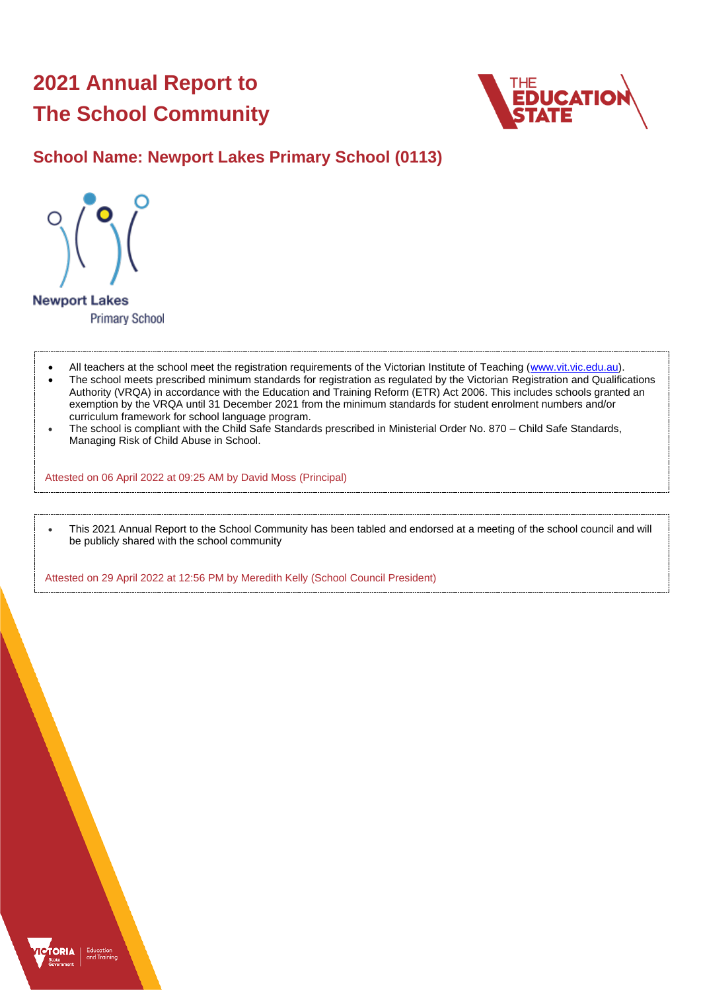# **2021 Annual Report to The School Community**



**School Name: Newport Lakes Primary School (0113)**



**Primary School** 

- All teachers at the school meet the registration requirements of the Victorian Institute of Teaching [\(www.vit.vic.edu.au\)](https://www.vit.vic.edu.au/).
- The school meets prescribed minimum standards for registration as regulated by the Victorian Registration and Qualifications Authority (VRQA) in accordance with the Education and Training Reform (ETR) Act 2006. This includes schools granted an exemption by the VRQA until 31 December 2021 from the minimum standards for student enrolment numbers and/or curriculum framework for school language program.
- The school is compliant with the Child Safe Standards prescribed in Ministerial Order No. 870 Child Safe Standards, Managing Risk of Child Abuse in School.

Attested on 06 April 2022 at 09:25 AM by David Moss (Principal)

• This 2021 Annual Report to the School Community has been tabled and endorsed at a meeting of the school council and will be publicly shared with the school community

Attested on 29 April 2022 at 12:56 PM by Meredith Kelly (School Council President)

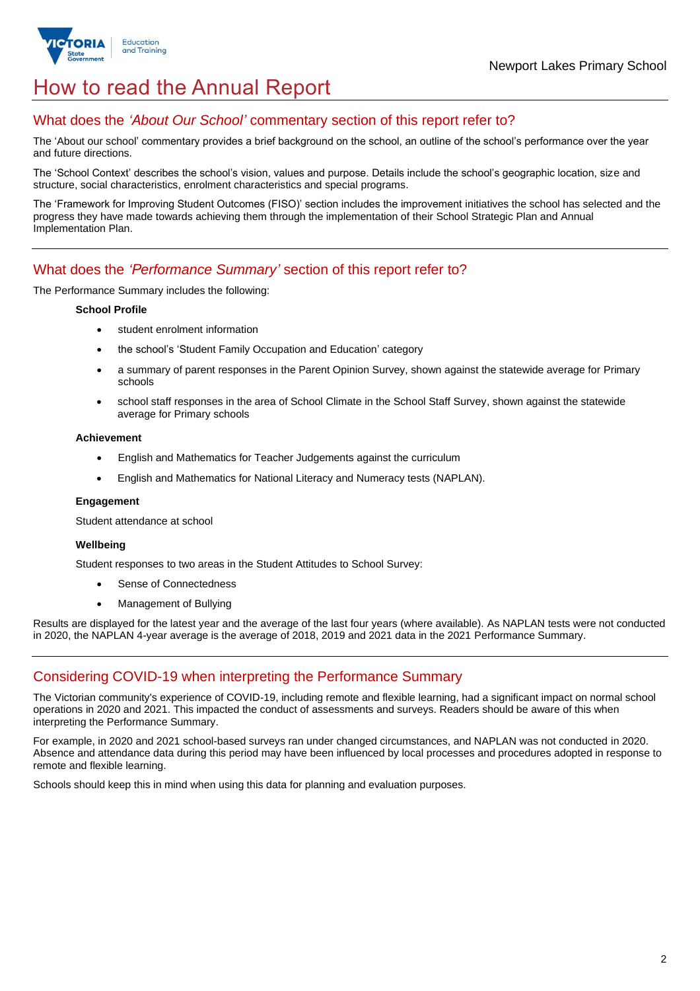

## How to read the Annual Report

## What does the *'About Our School'* commentary section of this report refer to?

The 'About our school' commentary provides a brief background on the school, an outline of the school's performance over the year and future directions.

The 'School Context' describes the school's vision, values and purpose. Details include the school's geographic location, size and structure, social characteristics, enrolment characteristics and special programs.

The 'Framework for Improving Student Outcomes (FISO)' section includes the improvement initiatives the school has selected and the progress they have made towards achieving them through the implementation of their School Strategic Plan and Annual Implementation Plan.

### What does the *'Performance Summary'* section of this report refer to?

The Performance Summary includes the following:

#### **School Profile**

- student enrolment information
- the school's 'Student Family Occupation and Education' category
- a summary of parent responses in the Parent Opinion Survey, shown against the statewide average for Primary schools
- school staff responses in the area of School Climate in the School Staff Survey, shown against the statewide average for Primary schools

#### **Achievement**

- English and Mathematics for Teacher Judgements against the curriculum
- English and Mathematics for National Literacy and Numeracy tests (NAPLAN).

#### **Engagement**

Student attendance at school

#### **Wellbeing**

Student responses to two areas in the Student Attitudes to School Survey:

- Sense of Connectedness
- Management of Bullying

Results are displayed for the latest year and the average of the last four years (where available). As NAPLAN tests were not conducted in 2020, the NAPLAN 4-year average is the average of 2018, 2019 and 2021 data in the 2021 Performance Summary.

## Considering COVID-19 when interpreting the Performance Summary

The Victorian community's experience of COVID-19, including remote and flexible learning, had a significant impact on normal school operations in 2020 and 2021. This impacted the conduct of assessments and surveys. Readers should be aware of this when interpreting the Performance Summary.

For example, in 2020 and 2021 school-based surveys ran under changed circumstances, and NAPLAN was not conducted in 2020. Absence and attendance data during this period may have been influenced by local processes and procedures adopted in response to remote and flexible learning.

Schools should keep this in mind when using this data for planning and evaluation purposes.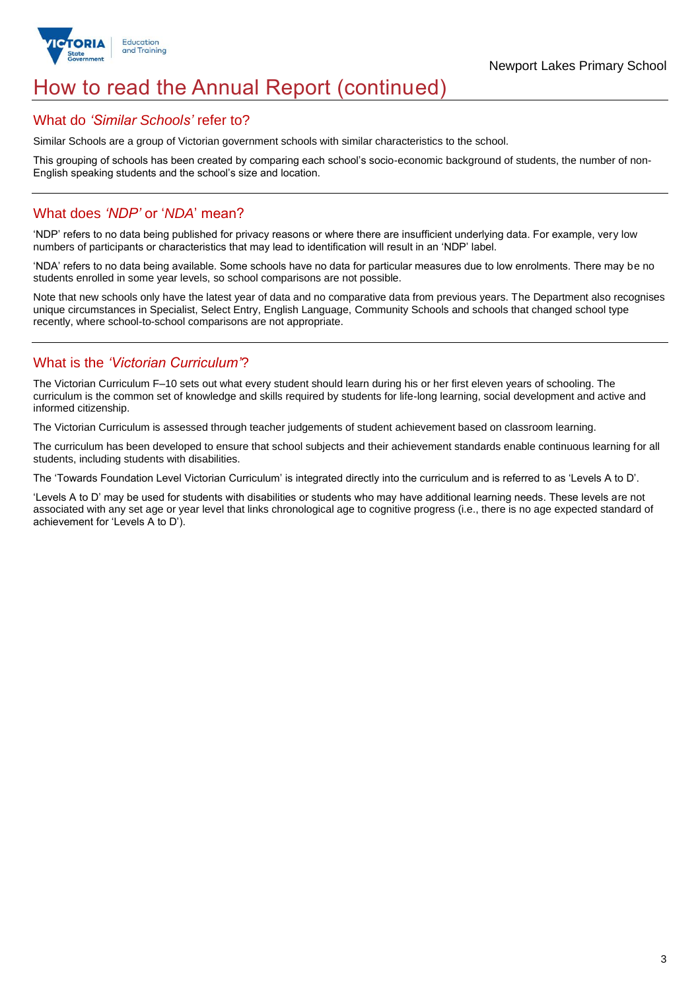

## How to read the Annual Report (continued)

#### What do *'Similar Schools'* refer to?

Similar Schools are a group of Victorian government schools with similar characteristics to the school.

This grouping of schools has been created by comparing each school's socio-economic background of students, the number of non-English speaking students and the school's size and location.

## What does *'NDP'* or '*NDA*' mean?

'NDP' refers to no data being published for privacy reasons or where there are insufficient underlying data. For example, very low numbers of participants or characteristics that may lead to identification will result in an 'NDP' label.

'NDA' refers to no data being available. Some schools have no data for particular measures due to low enrolments. There may be no students enrolled in some year levels, so school comparisons are not possible.

Note that new schools only have the latest year of data and no comparative data from previous years. The Department also recognises unique circumstances in Specialist, Select Entry, English Language, Community Schools and schools that changed school type recently, where school-to-school comparisons are not appropriate.

## What is the *'Victorian Curriculum'*?

The Victorian Curriculum F–10 sets out what every student should learn during his or her first eleven years of schooling. The curriculum is the common set of knowledge and skills required by students for life-long learning, social development and active and informed citizenship.

The Victorian Curriculum is assessed through teacher judgements of student achievement based on classroom learning.

The curriculum has been developed to ensure that school subjects and their achievement standards enable continuous learning for all students, including students with disabilities.

The 'Towards Foundation Level Victorian Curriculum' is integrated directly into the curriculum and is referred to as 'Levels A to D'.

'Levels A to D' may be used for students with disabilities or students who may have additional learning needs. These levels are not associated with any set age or year level that links chronological age to cognitive progress (i.e., there is no age expected standard of achievement for 'Levels A to D').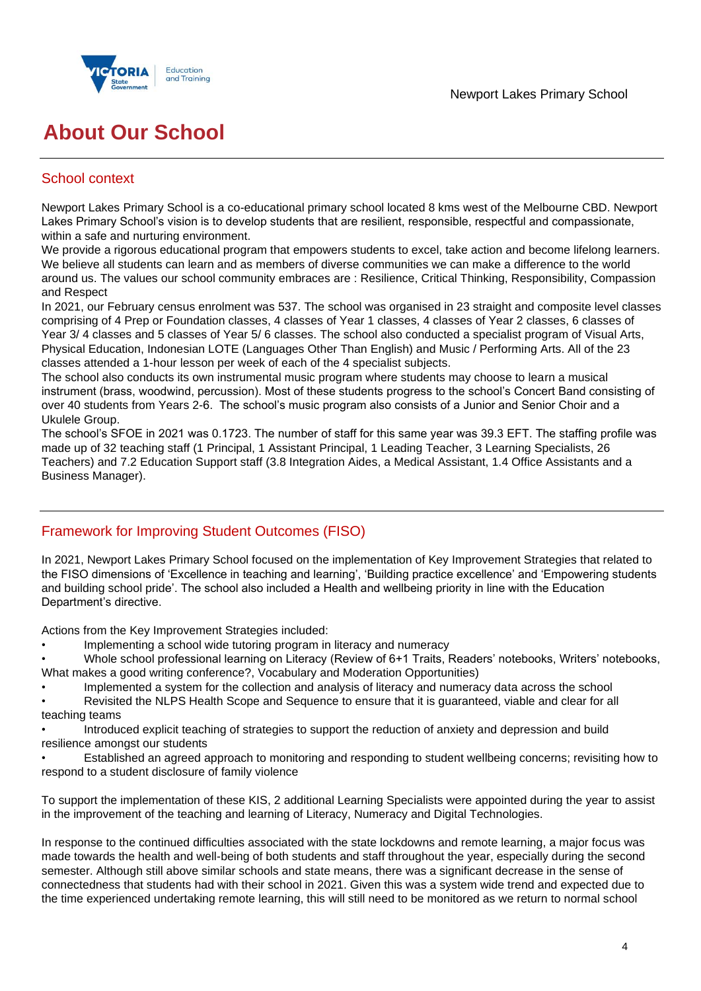

## **About Our School**

## School context

Newport Lakes Primary School is a co-educational primary school located 8 kms west of the Melbourne CBD. Newport Lakes Primary School's vision is to develop students that are resilient, responsible, respectful and compassionate, within a safe and nurturing environment.

We provide a rigorous educational program that empowers students to excel, take action and become lifelong learners. We believe all students can learn and as members of diverse communities we can make a difference to the world around us. The values our school community embraces are : Resilience, Critical Thinking, Responsibility, Compassion and Respect

In 2021, our February census enrolment was 537. The school was organised in 23 straight and composite level classes comprising of 4 Prep or Foundation classes, 4 classes of Year 1 classes, 4 classes of Year 2 classes, 6 classes of Year 3/ 4 classes and 5 classes of Year 5/ 6 classes. The school also conducted a specialist program of Visual Arts, Physical Education, Indonesian LOTE (Languages Other Than English) and Music / Performing Arts. All of the 23 classes attended a 1-hour lesson per week of each of the 4 specialist subjects.

The school also conducts its own instrumental music program where students may choose to learn a musical instrument (brass, woodwind, percussion). Most of these students progress to the school's Concert Band consisting of over 40 students from Years 2-6. The school's music program also consists of a Junior and Senior Choir and a Ukulele Group.

The school's SFOE in 2021 was 0.1723. The number of staff for this same year was 39.3 EFT. The staffing profile was made up of 32 teaching staff (1 Principal, 1 Assistant Principal, 1 Leading Teacher, 3 Learning Specialists, 26 Teachers) and 7.2 Education Support staff (3.8 Integration Aides, a Medical Assistant, 1.4 Office Assistants and a Business Manager).

## Framework for Improving Student Outcomes (FISO)

In 2021, Newport Lakes Primary School focused on the implementation of Key Improvement Strategies that related to the FISO dimensions of 'Excellence in teaching and learning', 'Building practice excellence' and 'Empowering students and building school pride'. The school also included a Health and wellbeing priority in line with the Education Department's directive.

Actions from the Key Improvement Strategies included:

• Implementing a school wide tutoring program in literacy and numeracy

• Whole school professional learning on Literacy (Review of 6+1 Traits, Readers' notebooks, Writers' notebooks, What makes a good writing conference?, Vocabulary and Moderation Opportunities)

• Implemented a system for the collection and analysis of literacy and numeracy data across the school

Revisited the NLPS Health Scope and Sequence to ensure that it is guaranteed, viable and clear for all teaching teams

• Introduced explicit teaching of strategies to support the reduction of anxiety and depression and build resilience amongst our students

• Established an agreed approach to monitoring and responding to student wellbeing concerns; revisiting how to respond to a student disclosure of family violence

To support the implementation of these KIS, 2 additional Learning Specialists were appointed during the year to assist in the improvement of the teaching and learning of Literacy, Numeracy and Digital Technologies.

In response to the continued difficulties associated with the state lockdowns and remote learning, a major focus was made towards the health and well-being of both students and staff throughout the year, especially during the second semester. Although still above similar schools and state means, there was a significant decrease in the sense of connectedness that students had with their school in 2021. Given this was a system wide trend and expected due to the time experienced undertaking remote learning, this will still need to be monitored as we return to normal school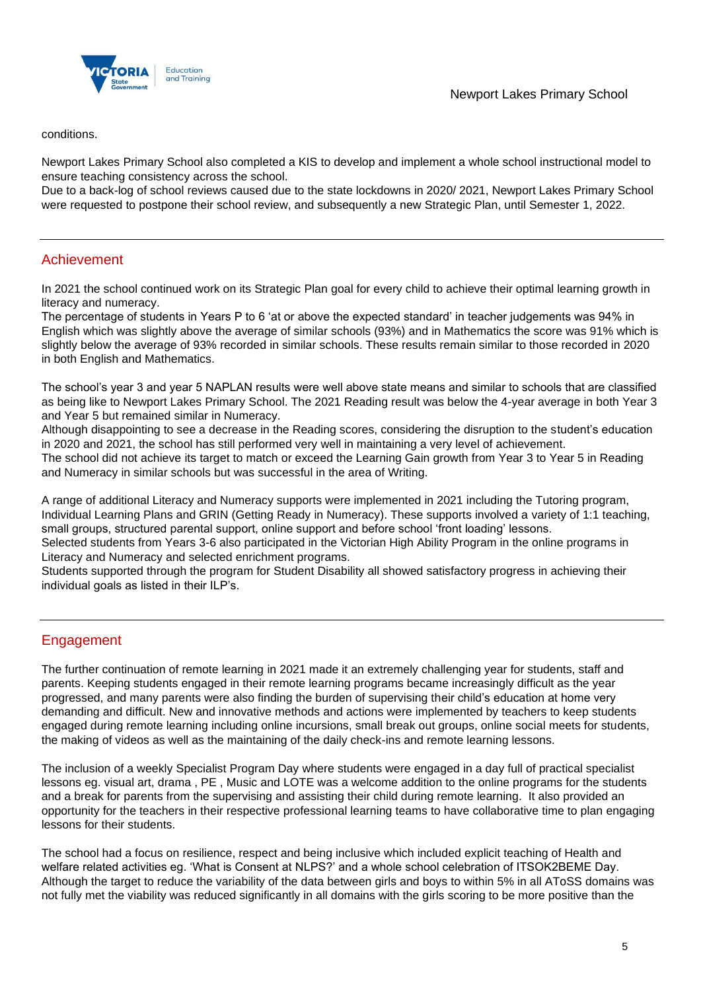

conditions.

Newport Lakes Primary School also completed a KIS to develop and implement a whole school instructional model to ensure teaching consistency across the school.

Due to a back-log of school reviews caused due to the state lockdowns in 2020/ 2021, Newport Lakes Primary School were requested to postpone their school review, and subsequently a new Strategic Plan, until Semester 1, 2022.

### Achievement

In 2021 the school continued work on its Strategic Plan goal for every child to achieve their optimal learning growth in literacy and numeracy.

The percentage of students in Years P to 6 'at or above the expected standard' in teacher judgements was 94% in English which was slightly above the average of similar schools (93%) and in Mathematics the score was 91% which is slightly below the average of 93% recorded in similar schools. These results remain similar to those recorded in 2020 in both English and Mathematics.

The school's year 3 and year 5 NAPLAN results were well above state means and similar to schools that are classified as being like to Newport Lakes Primary School. The 2021 Reading result was below the 4-year average in both Year 3 and Year 5 but remained similar in Numeracy.

Although disappointing to see a decrease in the Reading scores, considering the disruption to the student's education in 2020 and 2021, the school has still performed very well in maintaining a very level of achievement.

The school did not achieve its target to match or exceed the Learning Gain growth from Year 3 to Year 5 in Reading and Numeracy in similar schools but was successful in the area of Writing.

A range of additional Literacy and Numeracy supports were implemented in 2021 including the Tutoring program, Individual Learning Plans and GRIN (Getting Ready in Numeracy). These supports involved a variety of 1:1 teaching, small groups, structured parental support, online support and before school 'front loading' lessons.

Selected students from Years 3-6 also participated in the Victorian High Ability Program in the online programs in Literacy and Numeracy and selected enrichment programs.

Students supported through the program for Student Disability all showed satisfactory progress in achieving their individual goals as listed in their ILP's.

## Engagement

The further continuation of remote learning in 2021 made it an extremely challenging year for students, staff and parents. Keeping students engaged in their remote learning programs became increasingly difficult as the year progressed, and many parents were also finding the burden of supervising their child's education at home very demanding and difficult. New and innovative methods and actions were implemented by teachers to keep students engaged during remote learning including online incursions, small break out groups, online social meets for students, the making of videos as well as the maintaining of the daily check-ins and remote learning lessons.

The inclusion of a weekly Specialist Program Day where students were engaged in a day full of practical specialist lessons eg. visual art, drama , PE , Music and LOTE was a welcome addition to the online programs for the students and a break for parents from the supervising and assisting their child during remote learning. It also provided an opportunity for the teachers in their respective professional learning teams to have collaborative time to plan engaging lessons for their students.

The school had a focus on resilience, respect and being inclusive which included explicit teaching of Health and welfare related activities eg. 'What is Consent at NLPS?' and a whole school celebration of ITSOK2BEME Day. Although the target to reduce the variability of the data between girls and boys to within 5% in all AToSS domains was not fully met the viability was reduced significantly in all domains with the girls scoring to be more positive than the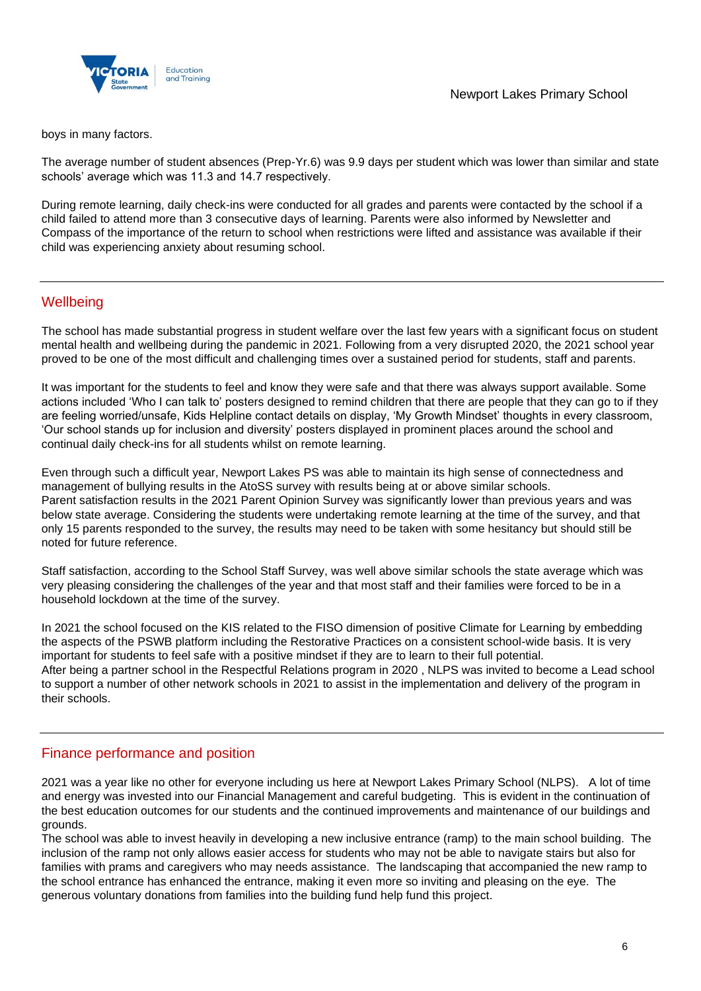

boys in many factors.

The average number of student absences (Prep-Yr.6) was 9.9 days per student which was lower than similar and state schools' average which was 11.3 and 14.7 respectively.

During remote learning, daily check-ins were conducted for all grades and parents were contacted by the school if a child failed to attend more than 3 consecutive days of learning. Parents were also informed by Newsletter and Compass of the importance of the return to school when restrictions were lifted and assistance was available if their child was experiencing anxiety about resuming school.

## **Wellbeing**

The school has made substantial progress in student welfare over the last few years with a significant focus on student mental health and wellbeing during the pandemic in 2021. Following from a very disrupted 2020, the 2021 school year proved to be one of the most difficult and challenging times over a sustained period for students, staff and parents.

It was important for the students to feel and know they were safe and that there was always support available. Some actions included 'Who I can talk to' posters designed to remind children that there are people that they can go to if they are feeling worried/unsafe, Kids Helpline contact details on display, 'My Growth Mindset' thoughts in every classroom, 'Our school stands up for inclusion and diversity' posters displayed in prominent places around the school and continual daily check-ins for all students whilst on remote learning.

Even through such a difficult year, Newport Lakes PS was able to maintain its high sense of connectedness and management of bullying results in the AtoSS survey with results being at or above similar schools. Parent satisfaction results in the 2021 Parent Opinion Survey was significantly lower than previous years and was below state average. Considering the students were undertaking remote learning at the time of the survey, and that only 15 parents responded to the survey, the results may need to be taken with some hesitancy but should still be noted for future reference.

Staff satisfaction, according to the School Staff Survey, was well above similar schools the state average which was very pleasing considering the challenges of the year and that most staff and their families were forced to be in a household lockdown at the time of the survey.

In 2021 the school focused on the KIS related to the FISO dimension of positive Climate for Learning by embedding the aspects of the PSWB platform including the Restorative Practices on a consistent school-wide basis. It is very important for students to feel safe with a positive mindset if they are to learn to their full potential. After being a partner school in the Respectful Relations program in 2020 , NLPS was invited to become a Lead school to support a number of other network schools in 2021 to assist in the implementation and delivery of the program in their schools.

### Finance performance and position

2021 was a year like no other for everyone including us here at Newport Lakes Primary School (NLPS). A lot of time and energy was invested into our Financial Management and careful budgeting. This is evident in the continuation of the best education outcomes for our students and the continued improvements and maintenance of our buildings and grounds.

The school was able to invest heavily in developing a new inclusive entrance (ramp) to the main school building. The inclusion of the ramp not only allows easier access for students who may not be able to navigate stairs but also for families with prams and caregivers who may needs assistance. The landscaping that accompanied the new ramp to the school entrance has enhanced the entrance, making it even more so inviting and pleasing on the eye. The generous voluntary donations from families into the building fund help fund this project.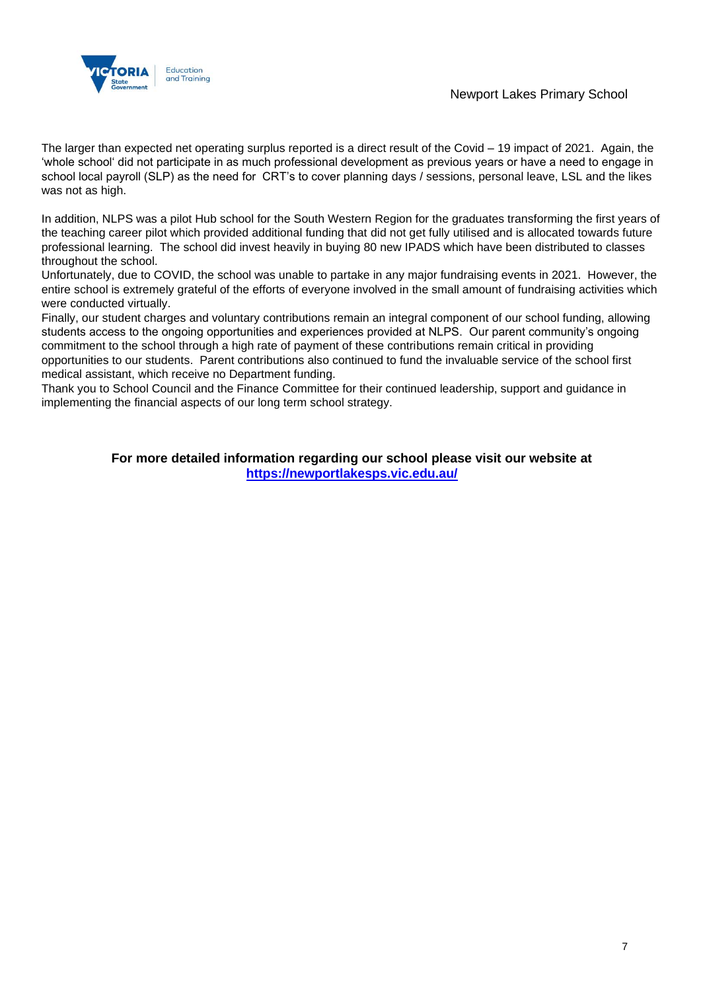

The larger than expected net operating surplus reported is a direct result of the Covid – 19 impact of 2021. Again, the 'whole school' did not participate in as much professional development as previous years or have a need to engage in school local payroll (SLP) as the need for CRT's to cover planning days / sessions, personal leave, LSL and the likes was not as high.

In addition, NLPS was a pilot Hub school for the South Western Region for the graduates transforming the first years of the teaching career pilot which provided additional funding that did not get fully utilised and is allocated towards future professional learning. The school did invest heavily in buying 80 new IPADS which have been distributed to classes throughout the school.

Unfortunately, due to COVID, the school was unable to partake in any major fundraising events in 2021. However, the entire school is extremely grateful of the efforts of everyone involved in the small amount of fundraising activities which were conducted virtually.

Finally, our student charges and voluntary contributions remain an integral component of our school funding, allowing students access to the ongoing opportunities and experiences provided at NLPS. Our parent community's ongoing commitment to the school through a high rate of payment of these contributions remain critical in providing opportunities to our students. Parent contributions also continued to fund the invaluable service of the school first medical assistant, which receive no Department funding.

Thank you to School Council and the Finance Committee for their continued leadership, support and guidance in implementing the financial aspects of our long term school strategy.

> **For more detailed information regarding our school please visit our website at <https://newportlakesps.vic.edu.au/>**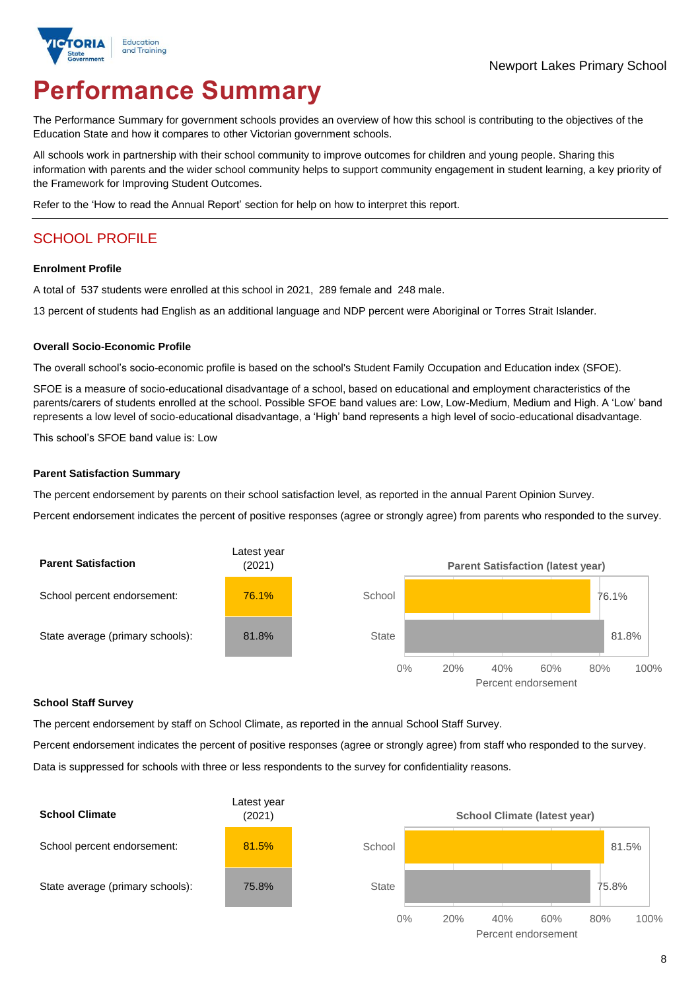

# **Performance Summary**

The Performance Summary for government schools provides an overview of how this school is contributing to the objectives of the Education State and how it compares to other Victorian government schools.

All schools work in partnership with their school community to improve outcomes for children and young people. Sharing this information with parents and the wider school community helps to support community engagement in student learning, a key priority of the Framework for Improving Student Outcomes.

Refer to the 'How to read the Annual Report' section for help on how to interpret this report.

## SCHOOL PROFILE

#### **Enrolment Profile**

A total of 537 students were enrolled at this school in 2021, 289 female and 248 male.

13 percent of students had English as an additional language and NDP percent were Aboriginal or Torres Strait Islander.

#### **Overall Socio-Economic Profile**

The overall school's socio-economic profile is based on the school's Student Family Occupation and Education index (SFOE).

SFOE is a measure of socio-educational disadvantage of a school, based on educational and employment characteristics of the parents/carers of students enrolled at the school. Possible SFOE band values are: Low, Low-Medium, Medium and High. A 'Low' band represents a low level of socio-educational disadvantage, a 'High' band represents a high level of socio-educational disadvantage.

This school's SFOE band value is: Low

#### **Parent Satisfaction Summary**

The percent endorsement by parents on their school satisfaction level, as reported in the annual Parent Opinion Survey.

Percent endorsement indicates the percent of positive responses (agree or strongly agree) from parents who responded to the survey.



#### **School Staff Survey**

The percent endorsement by staff on School Climate, as reported in the annual School Staff Survey.

Percent endorsement indicates the percent of positive responses (agree or strongly agree) from staff who responded to the survey. Data is suppressed for schools with three or less respondents to the survey for confidentiality reasons.

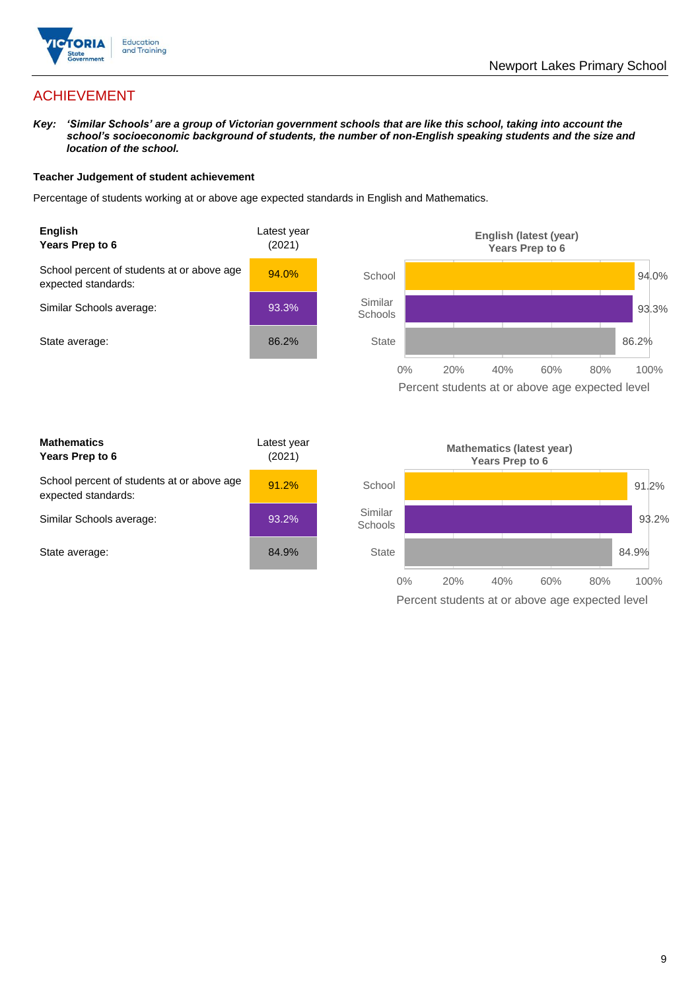

## ACHIEVEMENT

*Key: 'Similar Schools' are a group of Victorian government schools that are like this school, taking into account the school's socioeconomic background of students, the number of non-English speaking students and the size and location of the school.*

#### **Teacher Judgement of student achievement**

Percentage of students working at or above age expected standards in English and Mathematics.



Percent students at or above age expected level

| <b>Mathematics</b><br>Years Prep to 6                             | Latest year<br>(2021) |
|-------------------------------------------------------------------|-----------------------|
| School percent of students at or above age<br>expected standards: | 91.2%                 |
| Similar Schools average:                                          | 93.2%                 |
| State average:                                                    | 84.9%                 |

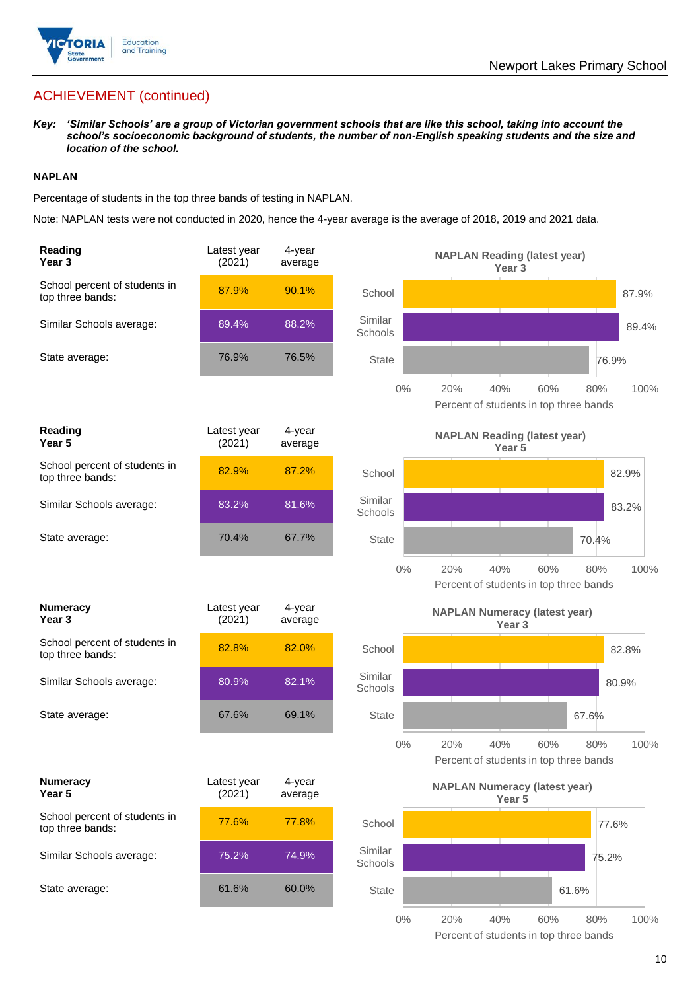

## ACHIEVEMENT (continued)

*Key: 'Similar Schools' are a group of Victorian government schools that are like this school, taking into account the school's socioeconomic background of students, the number of non-English speaking students and the size and location of the school.*

#### **NAPLAN**

Percentage of students in the top three bands of testing in NAPLAN.

Note: NAPLAN tests were not conducted in 2020, hence the 4-year average is the average of 2018, 2019 and 2021 data.

| <b>Reading</b><br>Year <sub>3</sub>               | Latest year<br>(2021) | 4-year<br>average |                    | <b>NAPLAN Reading (latest year)</b><br>Year <sub>3</sub>  |                                                              |
|---------------------------------------------------|-----------------------|-------------------|--------------------|-----------------------------------------------------------|--------------------------------------------------------------|
| School percent of students in<br>top three bands: | 87.9%                 | 90.1%             | School             |                                                           | 87.9%                                                        |
| Similar Schools average:                          | 89.4%                 | 88.2%             | Similar<br>Schools |                                                           | 89.4%                                                        |
| State average:                                    | 76.9%                 | 76.5%             | <b>State</b>       |                                                           | 76.9%                                                        |
|                                                   |                       |                   | $0\%$              | 40%<br>20%                                                | 60%<br>100%<br>80%<br>Percent of students in top three bands |
| Reading<br>Year 5                                 | Latest year<br>(2021) | 4-year<br>average |                    | <b>NAPLAN Reading (latest year)</b><br>Year <sub>5</sub>  |                                                              |
| School percent of students in<br>top three bands: | 82.9%                 | 87.2%             | School             |                                                           | 82.9%                                                        |
| Similar Schools average:                          | 83.2%                 | 81.6%             | Similar<br>Schools |                                                           | 83.2%                                                        |
| State average:                                    | 70.4%                 | 67.7%             | <b>State</b>       |                                                           | 70.4%                                                        |
|                                                   |                       |                   | $0\%$              | 20%<br>40%                                                | 60%<br>80%<br>100%<br>Percent of students in top three bands |
| <b>Numeracy</b><br>Year <sub>3</sub>              | Latest year<br>(2021) | 4-year<br>average |                    | <b>NAPLAN Numeracy (latest year)</b><br>Year <sub>3</sub> |                                                              |
| School percent of students in<br>top three bands: | 82.8%                 | 82.0%             | School             |                                                           | 82.8%                                                        |
| Similar Schools average:                          | 80.9%                 | 82.1%             | Similar<br>Schools |                                                           | 80.9%                                                        |
| State average:                                    | 67.6%                 | 69.1%             | <b>State</b>       |                                                           | 67.6%                                                        |
|                                                   |                       |                   | 0%                 | 20%<br>40%                                                | 60%<br>100%<br>80%<br>Percent of students in top three bands |
| <b>Numeracy</b><br>Year 5                         | Latest year<br>(2021) | 4-year<br>average |                    | <b>NAPLAN Numeracy (latest year)</b><br>Year 5            |                                                              |
| School percent of students in<br>top three bands: | 77.6%                 | 77.8%             | School             |                                                           | 77.6%                                                        |
| Similar Schools average:                          | 75.2%                 | 74.9%             | Similar<br>Schools |                                                           | 75.2%                                                        |
| State average:                                    | 61.6%                 | 60.0%             | State              |                                                           | 61.6%                                                        |
|                                                   |                       |                   | $0\%$              | 20%<br>40%                                                | 60%<br>80%<br>100%                                           |

Percent of students in top three bands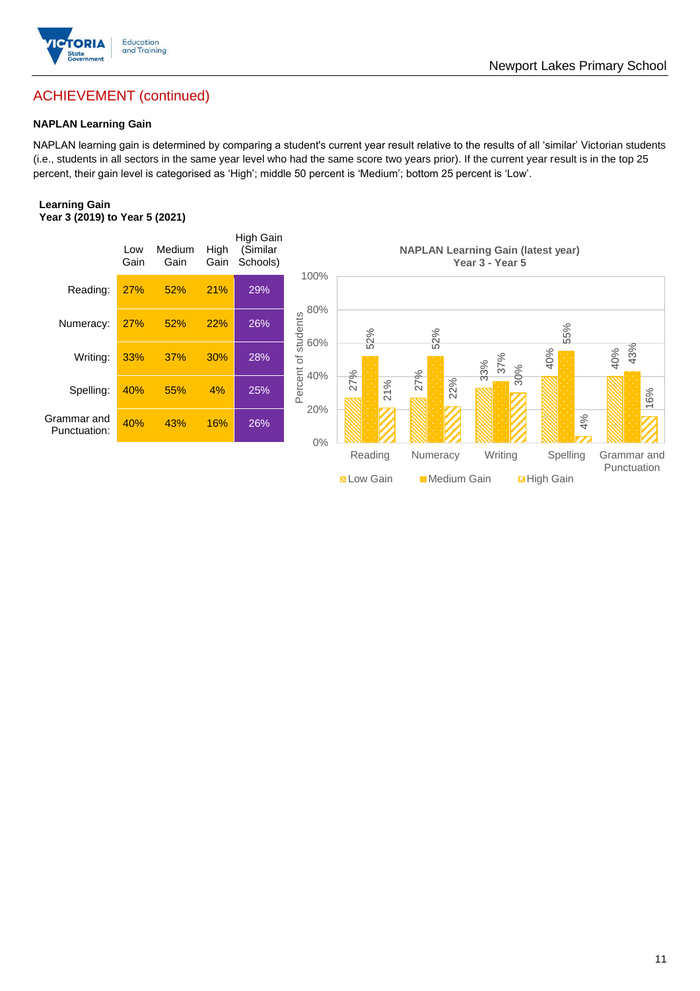

## ACHIEVEMENT (continued)

#### **NAPLAN Learning Gain**

NAPLAN learning gain is determined by comparing a student's current year result relative to the results of all 'similar' Victorian students (i.e., students in all sectors in the same year level who had the same score two years prior). If the current year result is in the top 25 percent, their gain level is categorised as 'High'; middle 50 percent is 'Medium'; bottom 25 percent is 'Low'.

#### **Learning Gain Year 3 (2019) to Year 5 (2021)**



**BLow Gain** Medium Gain **Example 10**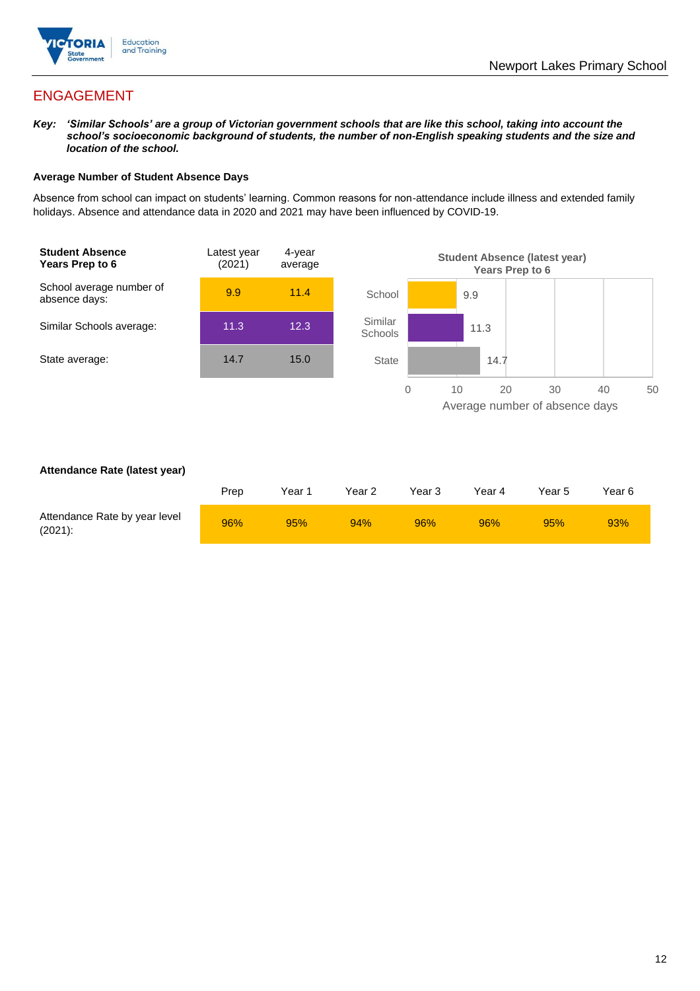

## ENGAGEMENT

*Key: 'Similar Schools' are a group of Victorian government schools that are like this school, taking into account the school's socioeconomic background of students, the number of non-English speaking students and the size and location of the school.*

#### **Average Number of Student Absence Days**

Absence from school can impact on students' learning. Common reasons for non-attendance include illness and extended family holidays. Absence and attendance data in 2020 and 2021 may have been influenced by COVID-19.



#### **Attendance Rate (latest year)**

|                                             | Prep | Year 1 | Year 2 | Year 3 | Year 4 | Year 5 | Year 6 |
|---------------------------------------------|------|--------|--------|--------|--------|--------|--------|
| Attendance Rate by year level<br>$(2021)$ : | 96%  | 95%    | 94%    | 96%    | 96%    | 95%    | 93%    |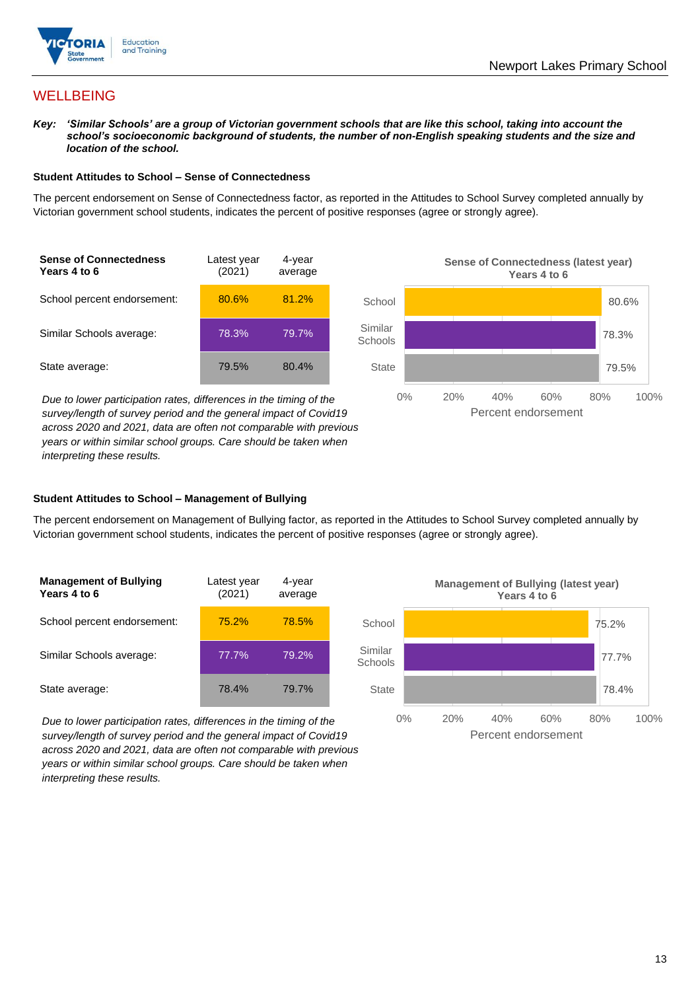

## **WELLBEING**

*Key: 'Similar Schools' are a group of Victorian government schools that are like this school, taking into account the school's socioeconomic background of students, the number of non-English speaking students and the size and location of the school.*

#### **Student Attitudes to School – Sense of Connectedness**

The percent endorsement on Sense of Connectedness factor, as reported in the Attitudes to School Survey completed annually by Victorian government school students, indicates the percent of positive responses (agree or strongly agree).



*Due to lower participation rates, differences in the timing of the survey/length of survey period and the general impact of Covid19 across 2020 and 2021, data are often not comparable with previous years or within similar school groups. Care should be taken when interpreting these results.*



#### **Student Attitudes to School – Management of Bullying**

The percent endorsement on Management of Bullying factor, as reported in the Attitudes to School Survey completed annually by Victorian government school students, indicates the percent of positive responses (agree or strongly agree).

| <b>Management of Bullying</b><br>Years 4 to 6 | Latest year<br>(2021) | 4-year<br>average |  |
|-----------------------------------------------|-----------------------|-------------------|--|
| School percent endorsement:                   | 75.2%                 | 78.5%             |  |
| Similar Schools average:                      | 77.7%                 | 79.2%             |  |
| State average:                                | 78.4%                 | 79.7%             |  |

*Due to lower participation rates, differences in the timing of the survey/length of survey period and the general impact of Covid19 across 2020 and 2021, data are often not comparable with previous years or within similar school groups. Care should be taken when interpreting these results.*

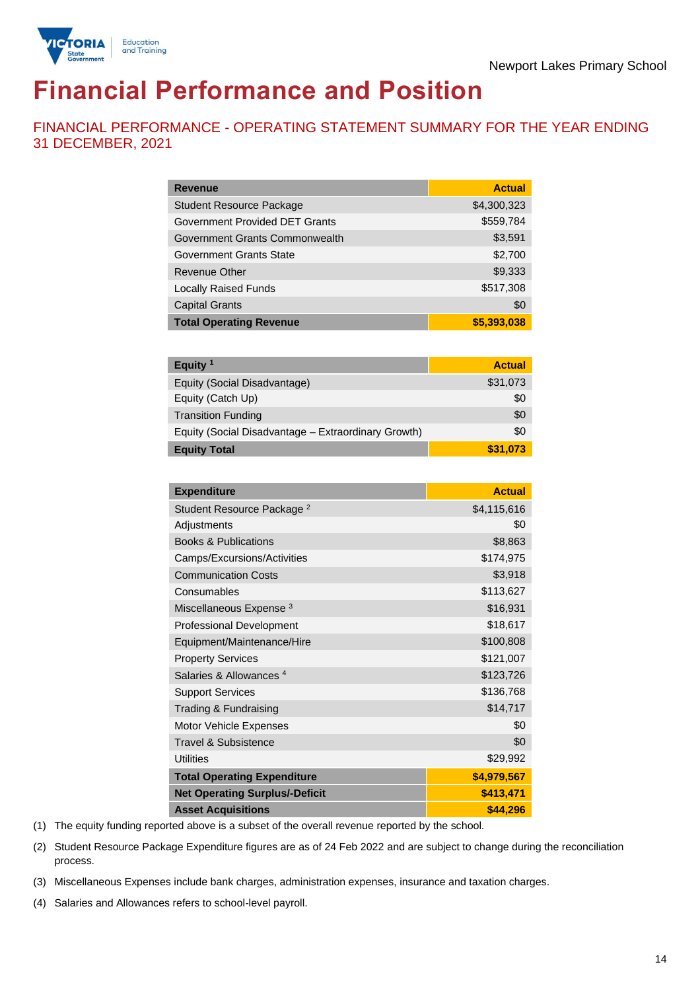

## **Financial Performance and Position**

FINANCIAL PERFORMANCE - OPERATING STATEMENT SUMMARY FOR THE YEAR ENDING 31 DECEMBER, 2021

| <b>Revenue</b>                  | <b>Actual</b> |
|---------------------------------|---------------|
| <b>Student Resource Package</b> | \$4,300,323   |
| Government Provided DET Grants  | \$559,784     |
| Government Grants Commonwealth  | \$3,591       |
| <b>Government Grants State</b>  | \$2,700       |
| <b>Revenue Other</b>            | \$9,333       |
| <b>Locally Raised Funds</b>     | \$517,308     |
| <b>Capital Grants</b>           | \$0           |
| <b>Total Operating Revenue</b>  | \$5,393,038   |

| Equity $1$                                          | <b>Actual</b> |
|-----------------------------------------------------|---------------|
| Equity (Social Disadvantage)                        | \$31,073      |
| Equity (Catch Up)                                   | \$0           |
| <b>Transition Funding</b>                           | \$0           |
| Equity (Social Disadvantage - Extraordinary Growth) | \$0           |
| <b>Equity Total</b>                                 | \$31,073      |

| <b>Expenditure</b>                    | <b>Actual</b> |
|---------------------------------------|---------------|
| Student Resource Package <sup>2</sup> | \$4,115,616   |
| Adjustments                           | \$0           |
| <b>Books &amp; Publications</b>       | \$8,863       |
| Camps/Excursions/Activities           | \$174,975     |
| <b>Communication Costs</b>            | \$3,918       |
| Consumables                           | \$113,627     |
| Miscellaneous Expense <sup>3</sup>    | \$16,931      |
| <b>Professional Development</b>       | \$18,617      |
| Equipment/Maintenance/Hire            | \$100,808     |
| <b>Property Services</b>              | \$121,007     |
| Salaries & Allowances <sup>4</sup>    | \$123,726     |
| <b>Support Services</b>               | \$136,768     |
| Trading & Fundraising                 | \$14,717      |
| Motor Vehicle Expenses                | \$0           |
| Travel & Subsistence                  | \$0           |
| <b>Utilities</b>                      | \$29,992      |
| <b>Total Operating Expenditure</b>    | \$4,979,567   |
| <b>Net Operating Surplus/-Deficit</b> | \$413,471     |
| <b>Asset Acquisitions</b>             | \$44,296      |

(1) The equity funding reported above is a subset of the overall revenue reported by the school.

(2) Student Resource Package Expenditure figures are as of 24 Feb 2022 and are subject to change during the reconciliation process.

(3) Miscellaneous Expenses include bank charges, administration expenses, insurance and taxation charges.

(4) Salaries and Allowances refers to school-level payroll.